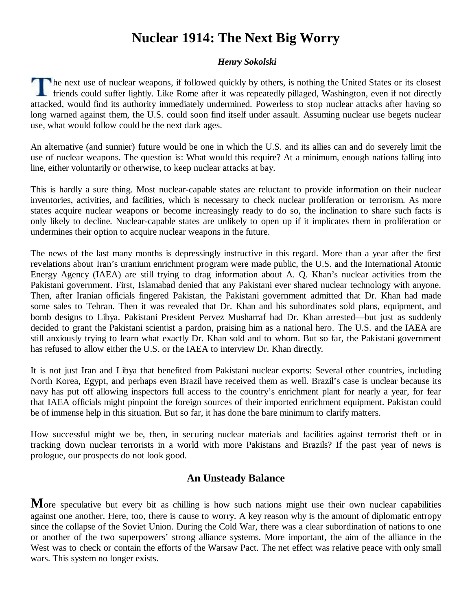# **Nuclear 1914: The Next Big Worry**

#### *Henry Sokolski*

he next use of nuclear weapons, if followed quickly by others, is nothing the United States or its closest  $\Box$  friends could suffer lightly. Like Rome after it was repeatedly pillaged, Washington, even if not directly attacked, would find its authority immediately undermined. Powerless to stop nuclear attacks after having so long warned against them, the U.S. could soon find itself under assault. Assuming nuclear use begets nuclear use, what would follow could be the next dark ages.

An alternative (and sunnier) future would be one in which the U.S. and its allies can and do severely limit the use of nuclear weapons. The question is: What would this require? At a minimum, enough nations falling into line, either voluntarily or otherwise, to keep nuclear attacks at bay.

This is hardly a sure thing. Most nuclear-capable states are reluctant to provide information on their nuclear inventories, activities, and facilities, which is necessary to check nuclear proliferation or terrorism. As more states acquire nuclear weapons or become increasingly ready to do so, the inclination to share such facts is only likely to decline. Nuclear-capable states are unlikely to open up if it implicates them in proliferation or undermines their option to acquire nuclear weapons in the future.

The news of the last many months is depressingly instructive in this regard. More than a year after the first revelations about Iran's uranium enrichment program were made public, the U.S. and the International Atomic Energy Agency (IAEA) are still trying to drag information about A. Q. Khan's nuclear activities from the Pakistani government. First, Islamabad denied that any Pakistani ever shared nuclear technology with anyone. Then, after Iranian officials fingered Pakistan, the Pakistani government admitted that Dr. Khan had made some sales to Tehran. Then it was revealed that Dr. Khan and his subordinates sold plans, equipment, and bomb designs to Libya. Pakistani President Pervez Musharraf had Dr. Khan arrested—but just as suddenly decided to grant the Pakistani scientist a pardon, praising him as a national hero. The U.S. and the IAEA are still anxiously trying to learn what exactly Dr. Khan sold and to whom. But so far, the Pakistani government has refused to allow either the U.S. or the IAEA to interview Dr. Khan directly.

It is not just Iran and Libya that benefited from Pakistani nuclear exports: Several other countries, including North Korea, Egypt, and perhaps even Brazil have received them as well. Brazil's case is unclear because its navy has put off allowing inspectors full access to the country's enrichment plant for nearly a year, for fear that IAEA officials might pinpoint the foreign sources of their imported enrichment equipment. Pakistan could be of immense help in this situation. But so far, it has done the bare minimum to clarify matters.

How successful might we be, then, in securing nuclear materials and facilities against terrorist theft or in tracking down nuclear terrorists in a world with more Pakistans and Brazils? If the past year of news is prologue, our prospects do not look good.

#### **An Unsteady Balance**

More speculative but every bit as chilling is how such nations might use their own nuclear capabilities against one another. Here, too, there is cause to worry. A key reason why is the amount of diplomatic entropy since the collapse of the Soviet Union. During the Cold War, there was a clear subordination of nations to one or another of the two superpowers' strong alliance systems. More important, the aim of the alliance in the West was to check or contain the efforts of the Warsaw Pact. The net effect was relative peace with only small wars. This system no longer exists.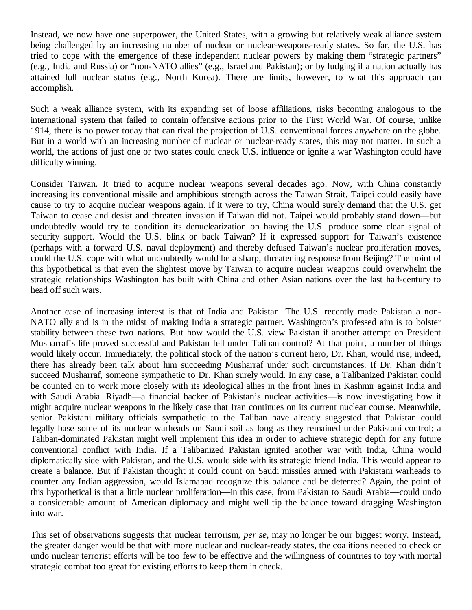Instead, we now have one superpower, the United States, with a growing but relatively weak alliance system being challenged by an increasing number of nuclear or nuclear-weapons-ready states. So far, the U.S. has tried to cope with the emergence of these independent nuclear powers by making them "strategic partners" (e.g., India and Russia) or "non-NATO allies" (e.g., Israel and Pakistan); or by fudging if a nation actually has attained full nuclear status (e.g., North Korea). There are limits, however, to what this approach can accomplish.

Such a weak alliance system, with its expanding set of loose affiliations, risks becoming analogous to the international system that failed to contain offensive actions prior to the First World War. Of course, unlike 1914, there is no power today that can rival the projection of U.S. conventional forces anywhere on the globe. But in a world with an increasing number of nuclear or nuclear-ready states, this may not matter. In such a world, the actions of just one or two states could check U.S. influence or ignite a war Washington could have difficulty winning.

Consider Taiwan. It tried to acquire nuclear weapons several decades ago. Now, with China constantly increasing its conventional missile and amphibious strength across the Taiwan Strait, Taipei could easily have cause to try to acquire nuclear weapons again. If it were to try, China would surely demand that the U.S. get Taiwan to cease and desist and threaten invasion if Taiwan did not. Taipei would probably stand down—but undoubtedly would try to condition its denuclearization on having the U.S. produce some clear signal of security support. Would the U.S. blink or back Taiwan? If it expressed support for Taiwan's existence (perhaps with a forward U.S. naval deployment) and thereby defused Taiwan's nuclear proliferation moves, could the U.S. cope with what undoubtedly would be a sharp, threatening response from Beijing? The point of this hypothetical is that even the slightest move by Taiwan to acquire nuclear weapons could overwhelm the strategic relationships Washington has built with China and other Asian nations over the last half-century to head off such wars.

Another case of increasing interest is that of India and Pakistan. The U.S. recently made Pakistan a non-NATO ally and is in the midst of making India a strategic partner. Washington's professed aim is to bolster stability between these two nations. But how would the U.S. view Pakistan if another attempt on President Musharraf's life proved successful and Pakistan fell under Taliban control? At that point, a number of things would likely occur. Immediately, the political stock of the nation's current hero, Dr. Khan, would rise; indeed, there has already been talk about him succeeding Musharraf under such circumstances. If Dr. Khan didn't succeed Musharraf, someone sympathetic to Dr. Khan surely would. In any case, a Talibanized Pakistan could be counted on to work more closely with its ideological allies in the front lines in Kashmir against India and with Saudi Arabia. Riyadh—a financial backer of Pakistan's nuclear activities—is now investigating how it might acquire nuclear weapons in the likely case that Iran continues on its current nuclear course. Meanwhile, senior Pakistani military officials sympathetic to the Taliban have already suggested that Pakistan could legally base some of its nuclear warheads on Saudi soil as long as they remained under Pakistani control; a Taliban-dominated Pakistan might well implement this idea in order to achieve strategic depth for any future conventional conflict with India. If a Talibanized Pakistan ignited another war with India, China would diplomatically side with Pakistan, and the U.S. would side with its strategic friend India. This would appear to create a balance. But if Pakistan thought it could count on Saudi missiles armed with Pakistani warheads to counter any Indian aggression, would Islamabad recognize this balance and be deterred? Again, the point of this hypothetical is that a little nuclear proliferation—in this case, from Pakistan to Saudi Arabia—could undo a considerable amount of American diplomacy and might well tip the balance toward dragging Washington into war.

This set of observations suggests that nuclear terrorism, *per se*, may no longer be our biggest worry. Instead, the greater danger would be that with more nuclear and nuclear-ready states, the coalitions needed to check or undo nuclear terrorist efforts will be too few to be effective and the willingness of countries to toy with mortal strategic combat too great for existing efforts to keep them in check.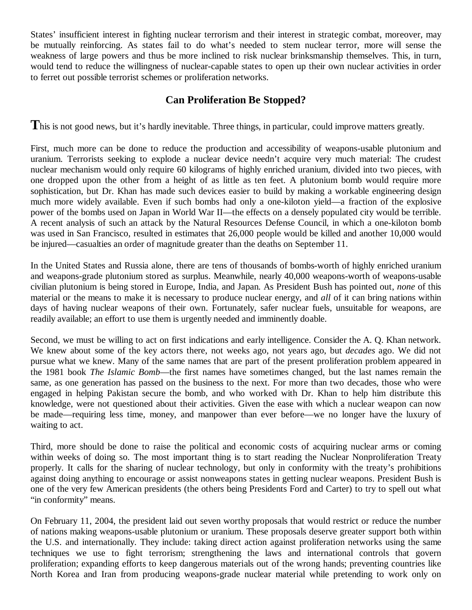States' insufficient interest in fighting nuclear terrorism and their interest in strategic combat, moreover, may be mutually reinforcing. As states fail to do what's needed to stem nuclear terror, more will sense the weakness of large powers and thus be more inclined to risk nuclear brinksmanship themselves. This, in turn, would tend to reduce the willingness of nuclear-capable states to open up their own nuclear activities in order to ferret out possible terrorist schemes or proliferation networks.

### **Can Proliferation Be Stopped?**

This is not good news, but it's hardly inevitable. Three things, in particular, could improve matters greatly.

First, much more can be done to reduce the production and accessibility of weapons-usable plutonium and uranium. Terrorists seeking to explode a nuclear device needn't acquire very much material: The crudest nuclear mechanism would only require 60 kilograms of highly enriched uranium, divided into two pieces, with one dropped upon the other from a height of as little as ten feet. A plutonium bomb would require more sophistication, but Dr. Khan has made such devices easier to build by making a workable engineering design much more widely available. Even if such bombs had only a one-kiloton yield—a fraction of the explosive power of the bombs used on Japan in World War II—the effects on a densely populated city would be terrible. A recent analysis of such an attack by the Natural Resources Defense Council, in which a one-kiloton bomb was used in San Francisco, resulted in estimates that 26,000 people would be killed and another 10,000 would be injured—casualties an order of magnitude greater than the deaths on September 11.

In the United States and Russia alone, there are tens of thousands of bombs-worth of highly enriched uranium and weapons-grade plutonium stored as surplus. Meanwhile, nearly 40,000 weapons-worth of weapons-usable civilian plutonium is being stored in Europe, India, and Japan. As President Bush has pointed out, *none* of this material or the means to make it is necessary to produce nuclear energy, and *all* of it can bring nations within days of having nuclear weapons of their own. Fortunately, safer nuclear fuels, unsuitable for weapons, are readily available; an effort to use them is urgently needed and imminently doable.

Second, we must be willing to act on first indications and early intelligence. Consider the A. Q. Khan network. We knew about some of the key actors there, not weeks ago, not years ago, but *decades* ago. We did not pursue what we knew. Many of the same names that are part of the present proliferation problem appeared in the 1981 book *The Islamic Bomb*—the first names have sometimes changed, but the last names remain the same, as one generation has passed on the business to the next. For more than two decades, those who were engaged in helping Pakistan secure the bomb, and who worked with Dr. Khan to help him distribute this knowledge, were not questioned about their activities. Given the ease with which a nuclear weapon can now be made—requiring less time, money, and manpower than ever before—we no longer have the luxury of waiting to act.

Third, more should be done to raise the political and economic costs of acquiring nuclear arms or coming within weeks of doing so. The most important thing is to start reading the Nuclear Nonproliferation Treaty properly. It calls for the sharing of nuclear technology, but only in conformity with the treaty's prohibitions against doing anything to encourage or assist nonweapons states in getting nuclear weapons. President Bush is one of the very few American presidents (the others being Presidents Ford and Carter) to try to spell out what "in conformity" means.

On February 11, 2004, the president laid out seven worthy proposals that would restrict or reduce the number of nations making weapons-usable plutonium or uranium. These proposals deserve greater support both within the U.S. and internationally. They include: taking direct action against proliferation networks using the same techniques we use to fight terrorism; strengthening the laws and international controls that govern proliferation; expanding efforts to keep dangerous materials out of the wrong hands; preventing countries like North Korea and Iran from producing weapons-grade nuclear material while pretending to work only on